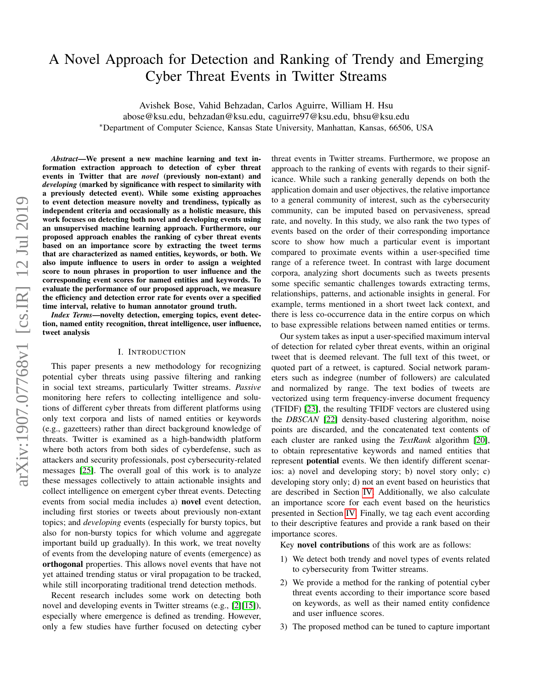# A Novel Approach for Detection and Ranking of Trendy and Emerging Cyber Threat Events in Twitter Streams

Avishek Bose, Vahid Behzadan, Carlos Aguirre, William H. Hsu

abose@ksu.edu, behzadan@ksu.edu, caguirre97@ksu.edu, bhsu@ksu.edu

<sup>∗</sup>Department of Computer Science, Kansas State University, Manhattan, Kansas, 66506, USA

*Abstract*—We present a new machine learning and text information extraction approach to detection of cyber threat events in Twitter that are *novel* (previously non-extant) and *developing* (marked by significance with respect to similarity with a previously detected event). While some existing approaches to event detection measure novelty and trendiness, typically as independent criteria and occasionally as a holistic measure, this work focuses on detecting both novel and developing events using an unsupervised machine learning approach. Furthermore, our proposed approach enables the ranking of cyber threat events based on an importance score by extracting the tweet terms that are characterized as named entities, keywords, or both. We also impute influence to users in order to assign a weighted score to noun phrases in proportion to user influence and the corresponding event scores for named entities and keywords. To evaluate the performance of our proposed approach, we measure the efficiency and detection error rate for events over a specified time interval, relative to human annotator ground truth.

*Index Terms*—novelty detection, emerging topics, event detection, named entity recognition, threat intelligence, user influence, tweet analysis

## I. INTRODUCTION

This paper presents a new methodology for recognizing potential cyber threats using passive filtering and ranking in social text streams, particularly Twitter streams. *Passive* monitoring here refers to collecting intelligence and solutions of different cyber threats from different platforms using only text corpora and lists of named entities or keywords (e.g., gazetteers) rather than direct background knowledge of threats. Twitter is examined as a high-bandwidth platform where both actors from both sides of cyberdefense, such as attackers and security professionals, post cybersecurity-related messages [\[25\]](#page-8-0). The overall goal of this work is to analyze these messages collectively to attain actionable insights and collect intelligence on emergent cyber threat events. Detecting events from social media includes a) novel event detection, including first stories or tweets about previously non-extant topics; and *developing* events (especially for bursty topics, but also for non-bursty topics for which volume and aggregate important build up gradually). In this work, we treat novelty of events from the developing nature of events (emergence) as orthogonal properties. This allows novel events that have not yet attained trending status or viral propagation to be tracked, while still incorporating traditional trend detection methods.

Recent research includes some work on detecting both novel and developing events in Twitter streams (e.g., [\[2\]](#page-7-0)[\[15\]](#page-7-1)), especially where emergence is defined as trending. However, only a few studies have further focused on detecting cyber

threat events in Twitter streams. Furthermore, we propose an approach to the ranking of events with regards to their significance. While such a ranking generally depends on both the application domain and user objectives, the relative importance to a general community of interest, such as the cybersecurity community, can be imputed based on pervasiveness, spread rate, and novelty. In this study, we also rank the two types of events based on the order of their corresponding importance score to show how much a particular event is important compared to proximate events within a user-specified time range of a reference tweet. In contrast with large document corpora, analyzing short documents such as tweets presents some specific semantic challenges towards extracting terms, relationships, patterns, and actionable insights in general. For example, terms mentioned in a short tweet lack context, and there is less co-occurrence data in the entire corpus on which to base expressible relations between named entities or terms.

Our system takes as input a user-specified maximum interval of detection for related cyber threat events, within an original tweet that is deemed relevant. The full text of this tweet, or quoted part of a retweet, is captured. Social network parameters such as indegree (number of followers) are calculated and normalized by range. The text bodies of tweets are vectorized using term frequency-inverse document frequency (TFIDF) [\[23\]](#page-7-2), the resulting TFIDF vectors are clustered using the *DBSCAN* [\[22\]](#page-7-3) density-based clustering algorithm, noise points are discarded, and the concatenated text contents of each cluster are ranked using the *TextRank* algorithm [\[20\]](#page-7-4), to obtain representative keywords and named entities that represent potential events. We then identify different scenarios: a) novel and developing story; b) novel story only; c) developing story only; d) not an event based on heuristics that are described in Section [IV.](#page-2-0) Additionally, we also calculate an importance score for each event based on the heuristics presented in Section [IV.](#page-2-0) Finally, we tag each event according to their descriptive features and provide a rank based on their importance scores.

Key novel contributions of this work are as follows:

- 1) We detect both trendy and novel types of events related to cybersecurity from Twitter streams.
- 2) We provide a method for the ranking of potential cyber threat events according to their importance score based on keywords, as well as their named entity confidence and user influence scores.
- 3) The proposed method can be tuned to capture important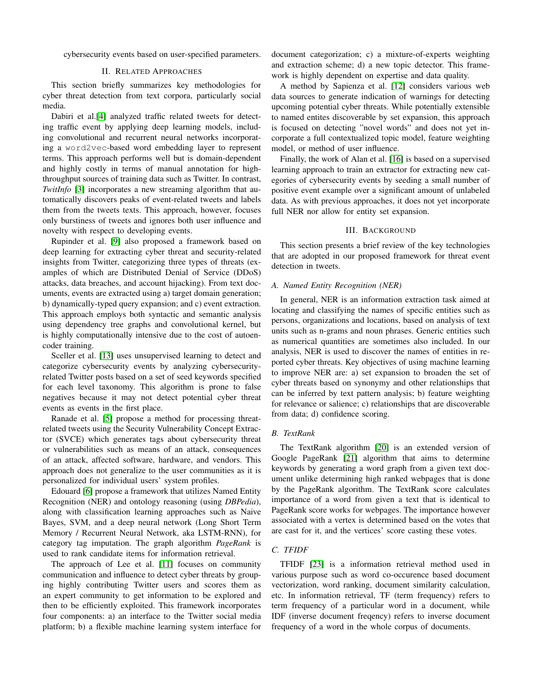cybersecurity events based on user-specified parameters.

# II. RELATED APPROACHES

This section briefly summarizes key methodologies for cyber threat detection from text corpora, particularly social media.

Dabiri et al.[\[4\]](#page-7-5) analyzed traffic related tweets for detecting traffic event by applying deep learning models, including convolutional and recurrent neural networks incorporating a word2vec-based word embedding layer to represent terms. This approach performs well but is domain-dependent and highly costly in terms of manual annotation for highthroughput sources of training data such as Twitter. In contrast, *TwitInfo* [\[3\]](#page-7-6) incorporates a new streaming algorithm that automatically discovers peaks of event-related tweets and labels them from the tweets texts. This approach, however, focuses only burstiness of tweets and ignores both user influence and novelty with respect to developing events.

Rupinder et al. [\[9\]](#page-7-7) also proposed a framework based on deep learning for extracting cyber threat and security-related insights from Twitter, categorizing three types of threats (examples of which are Distributed Denial of Service (DDoS) attacks, data breaches, and account hijacking). From text documents, events are extracted using a) target domain generation; b) dynamically-typed query expansion; and c) event extraction. This approach employs both syntactic and semantic analysis using dependency tree graphs and convolutional kernel, but is highly computationally intensive due to the cost of autoencoder training.

Sceller et al. [\[13\]](#page-7-8) uses unsupervised learning to detect and categorize cybersecurity events by analyzing cybersecurityrelated Twitter posts based on a set of seed keywords specified for each level taxonomy. This algorithm is prone to false negatives because it may not detect potential cyber threat events as events in the first place.

Ranade et al. [\[5\]](#page-7-9) propose a method for processing threatrelated tweets using the Security Vulnerability Concept Extractor (SVCE) which generates tags about cybersecurity threat or vulnerabilities such as means of an attack, consequences of an attack, affected software, hardware, and vendors. This approach does not generalize to the user communities as it is personalized for individual users' system profiles.

Edouard [\[6\]](#page-7-10) propose a framework that utilizes Named Entity Recognition (NER) and ontology reasoning (using *DBPedia*), along with classification learning approaches such as Naive Bayes, SVM, and a deep neural network (Long Short Term Memory / Recurrent Neural Network, aka LSTM-RNN), for category tag imputation. The graph algorithm *PageRank* is used to rank candidate items for information retrieval.

The approach of Lee et al. [\[11\]](#page-7-11) focuses on community communication and influence to detect cyber threats by grouping highly contributing Twitter users and scores them as an expert community to get information to be explored and then to be efficiently exploited. This framework incorporates four components: a) an interface to the Twitter social media platform; b) a flexible machine learning system interface for document categorization; c) a mixture-of-experts weighting and extraction scheme; d) a new topic detector. This framework is highly dependent on expertise and data quality.

A method by Sapienza et al. [\[12\]](#page-7-12) considers various web data sources to generate indication of warnings for detecting upcoming potential cyber threats. While potentially extensible to named entites discoverable by set expansion, this approach is focused on detecting "novel words" and does not yet incorporate a full contextualized topic model, feature weighting model, or method of user influence.

Finally, the work of Alan et al. [\[16\]](#page-7-13) is based on a supervised learning approach to train an extractor for extracting new categories of cybersecurity events by seeding a small number of positive event example over a significant amount of unlabeled data. As with previous approaches, it does not yet incorporate full NER nor allow for entity set expansion.

# III. BACKGROUND

This section presents a brief review of the key technologies that are adopted in our proposed framework for threat event detection in tweets.

## *A. Named Entity Recognition (NER)*

In general, NER is an information extraction task aimed at locating and classifying the names of specific entities such as persons, organizations and locations, based on analysis of text units such as n-grams and noun phrases. Generic entities such as numerical quantities are sometimes also included. In our analysis, NER is used to discover the names of entities in reported cyber threats. Key objectives of using machine learning to improve NER are: a) set expansion to broaden the set of cyber threats based on synonymy and other relationships that can be inferred by text pattern analysis; b) feature weighting for relevance or salience; c) relationships that are discoverable from data; d) confidence scoring.

## *B. TextRank*

The TextRank algorithm [\[20\]](#page-7-4) is an extended version of Google PageRank [\[21\]](#page-7-14) algorithm that aims to determine keywords by generating a word graph from a given text document unlike determining high ranked webpages that is done by the PageRank algorithm. The TextRank score calculates importance of a word from given a text that is identical to PageRank score works for webpages. The importance however associated with a vertex is determined based on the votes that are cast for it, and the vertices' score casting these votes.

# *C. TFIDF*

TFIDF [\[23\]](#page-7-2) is a information retrieval method used in various purpose such as word co-occurence based document vectorization, word ranking, document similarity calculation, etc. In information retrieval, TF (term frequency) refers to term frequency of a particular word in a document, while IDF (inverse document freqency) refers to inverse document frequency of a word in the whole corpus of documents.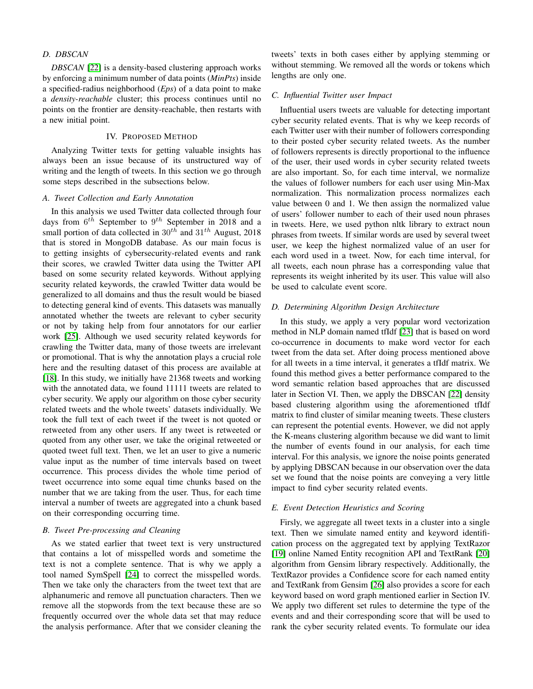# *D. DBSCAN*

*DBSCAN* [\[22\]](#page-7-3) is a density-based clustering approach works by enforcing a minimum number of data points (*MinPts*) inside a specified-radius neighborhood (*Eps*) of a data point to make a *density-reachable* cluster; this process continues until no points on the frontier are density-reachable, then restarts with a new initial point.

## IV. PROPOSED METHOD

<span id="page-2-0"></span>Analyzing Twitter texts for getting valuable insights has always been an issue because of its unstructured way of writing and the length of tweets. In this section we go through some steps described in the subsections below.

# *A. Tweet Collection and Early Annotation*

In this analysis we used Twitter data collected through four days from  $6^{th}$  September to  $9^{th}$  September in 2018 and a small portion of data collected in  $30^{th}$  and  $31^{th}$  August, 2018 that is stored in MongoDB database. As our main focus is to getting insights of cybersecurity-related events and rank their scores, we crawled Twitter data using the Twitter API based on some security related keywords. Without applying security related keywords, the crawled Twitter data would be generalized to all domains and thus the result would be biased to detecting general kind of events. This datasets was manually annotated whether the tweets are relevant to cyber security or not by taking help from four annotators for our earlier work [\[25\]](#page-8-0). Although we used security related keywords for crawling the Twitter data, many of those tweets are irrelevant or promotional. That is why the annotation plays a crucial role here and the resulting dataset of this process are available at [\[18\]](#page-7-15). In this study, we initially have 21368 tweets and working with the annotated data, we found 11111 tweets are related to cyber security. We apply our algorithm on those cyber security related tweets and the whole tweets' datasets individually. We took the full text of each tweet if the tweet is not quoted or retweeted from any other users. If any tweet is retweeted or quoted from any other user, we take the original retweeted or quoted tweet full text. Then, we let an user to give a numeric value input as the number of time intervals based on tweet occurrence. This process divides the whole time period of tweet occurrence into some equal time chunks based on the number that we are taking from the user. Thus, for each time interval a number of tweets are aggregated into a chunk based on their corresponding occurring time.

# *B. Tweet Pre-processing and Cleaning*

As we stated earlier that tweet text is very unstructured that contains a lot of misspelled words and sometime the text is not a complete sentence. That is why we apply a tool named SymSpell [\[24\]](#page-7-16) to correct the misspelled words. Then we take only the characters from the tweet text that are alphanumeric and remove all punctuation characters. Then we remove all the stopwords from the text because these are so frequently occurred over the whole data set that may reduce the analysis performance. After that we consider cleaning the tweets' texts in both cases either by applying stemming or without stemming. We removed all the words or tokens which lengths are only one.

# *C. Influential Twitter user Impact*

Influential users tweets are valuable for detecting important cyber security related events. That is why we keep records of each Twitter user with their number of followers corresponding to their posted cyber security related tweets. As the number of followers represents is directly proportional to the influence of the user, their used words in cyber security related tweets are also important. So, for each time interval, we normalize the values of follower numbers for each user using Min-Max normalization. This normalization process normalizes each value between 0 and 1. We then assign the normalized value of users' follower number to each of their used noun phrases in tweets. Here, we used python nltk library to extract noun phrases from tweets. If similar words are used by several tweet user, we keep the highest normalized value of an user for each word used in a tweet. Now, for each time interval, for all tweets, each noun phrase has a corresponding value that represents its weight inherited by its user. This value will also be used to calculate event score.

### *D. Determining Algorithm Design Architecture*

In this study, we apply a very popular word vectorization method in NLP domain named tfIdf [\[23\]](#page-7-2) that is based on word co-occurrence in documents to make word vector for each tweet from the data set. After doing process mentioned above for all tweets in a time interval, it generates a tfIdf matrix. We found this method gives a better performance compared to the word semantic relation based approaches that are discussed later in Section VI. Then, we apply the DBSCAN [\[22\]](#page-7-3) density based clustering algorithm using the aforementioned tfIdf matrix to find cluster of similar meaning tweets. These clusters can represent the potential events. However, we did not apply the K-means clustering algorithm because we did want to limit the number of events found in our analysis, for each time interval. For this analysis, we ignore the noise points generated by applying DBSCAN because in our observation over the data set we found that the noise points are conveying a very little impact to find cyber security related events.

# *E. Event Detection Heuristics and Scoring*

Firsly, we aggregate all tweet texts in a cluster into a single text. Then we simulate named entity and keyword identification process on the aggregated text by applying TextRazor [\[19\]](#page-7-17) online Named Entity recognition API and TextRank [\[20\]](#page-7-4) algorithm from Gensim library respectively. Additionally, the TextRazor provides a Confidence score for each named entity and TextRank from Gensim [\[26\]](#page-8-1) also provides a score for each keyword based on word graph mentioned earlier in Section IV. We apply two different set rules to determine the type of the events and and their corresponding score that will be used to rank the cyber security related events. To formulate our idea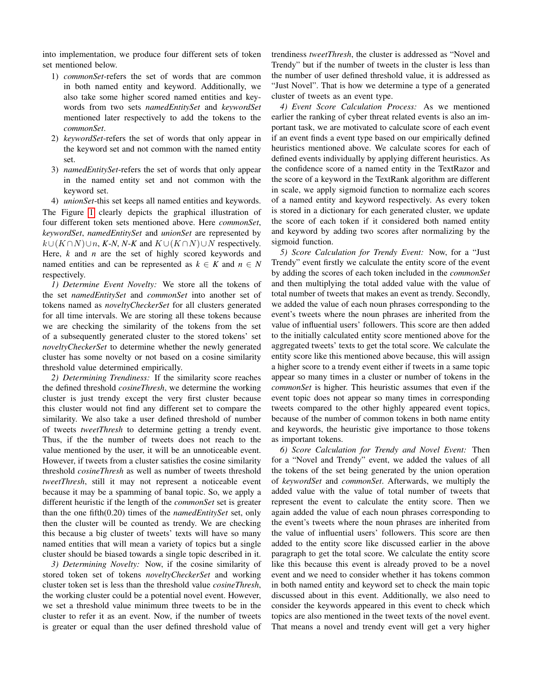into implementation, we produce four different sets of token set mentioned below.

- 1) *commonSet*-refers the set of words that are common in both named entity and keyword. Additionally, we also take some higher scored named entities and keywords from two sets *namedEntitySet* and *keywordSet* mentioned later respectively to add the tokens to the *commonSet*.
- 2) *keywordSet*-refers the set of words that only appear in the keyword set and not common with the named entity set.
- 3) *namedEntitySet*-refers the set of words that only appear in the named entity set and not common with the keyword set.
- 4) *unionSet*-this set keeps all named entities and keywords.

The Figure [1](#page-4-0) clearly depicts the graphical illustration of four different token sets mentioned above. Here *commonSet*, *keywordSet*, *namedEntitySet* and *unionSet* are represented by  $k \cup (K \cap N) \cup n$ , *K-N*, *N-K* and  $K \cup (K \cap N) \cup N$  respectively. Here, *k* and *n* are the set of highly scored keywords and named entities and can be represented as  $k \in K$  and  $n \in N$ respectively.

*1) Determine Event Novelty:* We store all the tokens of the set *namedEntitySet* and *commonSet* into another set of tokens named as *noveltyCheckerSet* for all clusters generated for all time intervals. We are storing all these tokens because we are checking the similarity of the tokens from the set of a subsequently generated cluster to the stored tokens' set *noveltyCheckerSet* to determine whether the newly generated cluster has some novelty or not based on a cosine similarity threshold value determined empirically.

*2) Determining Trendiness:* If the similarity score reaches the defined threshold *cosineThresh*, we determine the working cluster is just trendy except the very first cluster because this cluster would not find any different set to compare the similarity. We also take a user defined threshold of number of tweets *tweetThresh* to determine getting a trendy event. Thus, if the the number of tweets does not reach to the value mentioned by the user, it will be an unnoticeable event. However, if tweets from a cluster satisfies the cosine similarity threshold *cosineThresh* as well as number of tweets threshold *tweetThresh*, still it may not represent a noticeable event because it may be a spamming of banal topic. So, we apply a different heuristic if the length of the *commonSet* set is greater than the one fifth(0.20) times of the *namedEntitySet* set, only then the cluster will be counted as trendy. We are checking this because a big cluster of tweets' texts will have so many named entities that will mean a variety of topics but a single cluster should be biased towards a single topic described in it.

*3) Determining Novelty:* Now, if the cosine similarity of stored token set of tokens *noveltyCheckerSet* and working cluster token set is less than the threshold value *cosineThresh*, the working cluster could be a potential novel event. However, we set a threshold value minimum three tweets to be in the cluster to refer it as an event. Now, if the number of tweets is greater or equal than the user defined threshold value of trendiness *tweetThresh*, the cluster is addressed as "Novel and Trendy" but if the number of tweets in the cluster is less than the number of user defined threshold value, it is addressed as "Just Novel". That is how we determine a type of a generated cluster of tweets as an event type.

*4) Event Score Calculation Process:* As we mentioned earlier the ranking of cyber threat related events is also an important task, we are motivated to calculate score of each event if an event finds a event type based on our empirically defined heuristics mentioned above. We calculate scores for each of defined events individually by applying different heuristics. As the confidence score of a named entity in the TextRazor and the score of a keyword in the TextRank algorithm are different in scale, we apply sigmoid function to normalize each scores of a named entity and keyword respectively. As every token is stored in a dictionary for each generated cluster, we update the score of each token if it considered both named entity and keyword by adding two scores after normalizing by the sigmoid function.

*5) Score Calculation for Trendy Event:* Now, for a "Just Trendy" event firstly we calculate the entity score of the event by adding the scores of each token included in the *commonSet* and then multiplying the total added value with the value of total number of tweets that makes an event as trendy. Secondly, we added the value of each noun phrases corresponding to the event's tweets where the noun phrases are inherited from the value of influential users' followers. This score are then added to the initially calculated entity score mentioned above for the aggregated tweets' texts to get the total score. We calculate the entity score like this mentioned above because, this will assign a higher score to a trendy event either if tweets in a same topic appear so many times in a cluster or number of tokens in the *commonSet* is higher. This heuristic assumes that even if the event topic does not appear so many times in corresponding tweets compared to the other highly appeared event topics, because of the number of common tokens in both name entity and keywords, the heuristic give importance to those tokens as important tokens.

*6) Score Calculation for Trendy and Novel Event:* Then for a "Novel and Trendy" event, we added the values of all the tokens of the set being generated by the union operation of *keywordSet* and *commonSet*. Afterwards, we multiply the added value with the value of total number of tweets that represent the event to calculate the entity score. Then we again added the value of each noun phrases corresponding to the event's tweets where the noun phrases are inherited from the value of influential users' followers. This score are then added to the entity score like discussed earlier in the above paragraph to get the total score. We calculate the entity score like this because this event is already proved to be a novel event and we need to consider whether it has tokens common in both named entity and keyword set to check the main topic discussed about in this event. Additionally, we also need to consider the keywords appeared in this event to check which topics are also mentioned in the tweet texts of the novel event. That means a novel and trendy event will get a very higher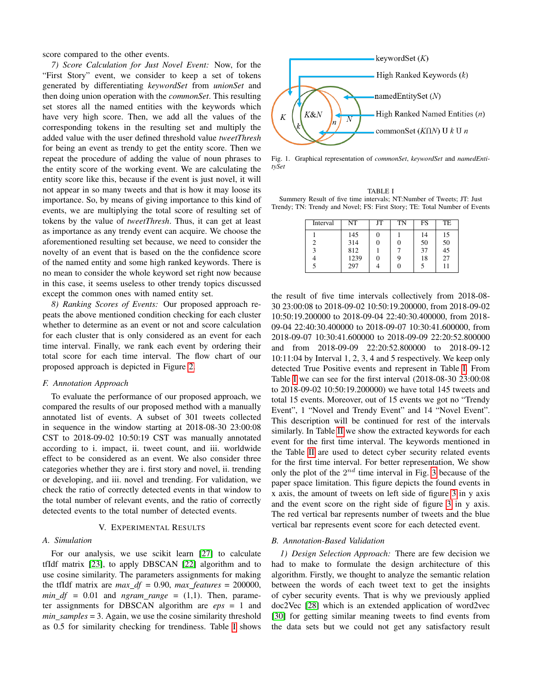score compared to the other events.

*7) Score Calculation for Just Novel Event:* Now, for the "First Story" event, we consider to keep a set of tokens generated by differentiating *keywordSet* from *unionSet* and then doing union operation with the *commonSet*. This resulting set stores all the named entities with the keywords which have very high score. Then, we add all the values of the corresponding tokens in the resulting set and multiply the added value with the user defined threshold value *tweetThresh* for being an event as trendy to get the entity score. Then we repeat the procedure of adding the value of noun phrases to the entity score of the working event. We are calculating the entity score like this, because if the event is just novel, it will not appear in so many tweets and that is how it may loose its importance. So, by means of giving importance to this kind of events, we are multiplying the total score of resulting set of tokens by the value of *tweetThresh*. Thus, it can get at least as importance as any trendy event can acquire. We choose the aforementioned resulting set because, we need to consider the novelty of an event that is based on the the confidence score of the named entity and some high ranked keywords. There is no mean to consider the whole keyword set right now because in this case, it seems useless to other trendy topics discussed except the common ones with named entity set.

*8) Ranking Scores of Events:* Our proposed approach repeats the above mentioned condition checking for each cluster whether to determine as an event or not and score calculation for each cluster that is only considered as an event for each time interval. Finally, we rank each event by ordering their total score for each time interval. The flow chart of our proposed approach is depicted in Figure [2.](#page-5-0)

# <span id="page-4-2"></span>*F. Annotation Approach*

To evaluate the performance of our proposed approach, we compared the results of our proposed method with a manually annotated list of events. A subset of 301 tweets collected in sequence in the window starting at 2018-08-30 23:00:08 CST to 2018-09-02 10:50:19 CST was manually annotated according to i. impact, ii. tweet count, and iii. worldwide effect to be considered as an event. We also consider three categories whether they are i. first story and novel, ii. trending or developing, and iii. novel and trending. For validation, we check the ratio of correctly detected events in that window to the total number of relevant events, and the ratio of correctly detected events to the total number of detected events.

# V. EXPERIMENTAL RESULTS

# *A. Simulation*

For our analysis, we use scikit learn [\[27\]](#page-8-2) to calculate tfIdf matrix [\[23\]](#page-7-2), to apply DBSCAN [\[22\]](#page-7-3) algorithm and to use cosine similarity. The parameters assignments for making the tfIdf matrix are *max*  $df = 0.90$ , *max features* = 200000,  $min\_df = 0.01$  and  $ngram\_range = (1,1)$ . Then, parameter assignments for DBSCAN algorithm are *eps* = 1 and *min samples* = 3. Again, we use the cosine similarity threshold as 0.5 for similarity checking for trendiness. Table [I](#page-4-1) shows



<span id="page-4-0"></span>Fig. 1. Graphical representation of *commonSet*, *keywordSet* and *namedEntitySet*

<span id="page-4-1"></span>

| TABLE I                                                                   |
|---------------------------------------------------------------------------|
| Summery Result of five time intervals; NT:Number of Tweets; JT: Just      |
| Trendy; TN: Trendy and Novel; FS: First Story; TE: Total Number of Events |

| Interval | NT   | JT | TN | <b>FS</b> | TE                                      |
|----------|------|----|----|-----------|-----------------------------------------|
|          | 145  | O  |    | 14        | 15                                      |
|          | 314  |    |    | 50        | $\begin{array}{c} 50 \\ 45 \end{array}$ |
| 3        | 812  |    |    | 37        |                                         |
|          | 1239 |    | y, | 18        | 27                                      |
|          | 297  |    |    |           |                                         |

the result of five time intervals collectively from 2018-08- 30 23:00:08 to 2018-09-02 10:50:19.200000, from 2018-09-02 10:50:19.200000 to 2018-09-04 22:40:30.400000, from 2018- 09-04 22:40:30.400000 to 2018-09-07 10:30:41.600000, from 2018-09-07 10:30:41.600000 to 2018-09-09 22:20:52.800000 and from 2018-09-09 22:20:52.800000 to 2018-09-12 10:11:04 by Interval 1, 2, 3, 4 and 5 respectively. We keep only detected True Positive events and represent in Table [I.](#page-4-1) From Table [I](#page-4-1) we can see for the first interval (2018-08-30 23:00:08 to 2018-09-02 10:50:19.200000) we have total 145 tweets and total 15 events. Moreover, out of 15 events we got no "Trendy Event", 1 "Novel and Trendy Event" and 14 "Novel Event". This description will be continued for rest of the intervals similarly. In Table [II](#page-6-0) we show the extracted keywords for each event for the first time interval. The keywords mentioned in the Table [II](#page-6-0) are used to detect cyber security related events for the first time interval. For better representation, We show only the plot of the  $2^{nd}$  time interval in Fig. [3](#page-5-1) because of the paper space limitation. This figure depicts the found events in x axis, the amount of tweets on left side of figure [3](#page-5-1) in y axis and the event score on the right side of figure [3](#page-5-1) in y axis. The red vertical bar represents number of tweets and the blue vertical bar represents event score for each detected event.

# *B. Annotation-Based Validation*

*1) Design Selection Approach:* There are few decision we had to make to formulate the design architecture of this algorithm. Firstly, we thought to analyze the semantic relation between the words of each tweet text to get the insights of cyber security events. That is why we previously applied doc2Vec [\[28\]](#page-8-3) which is an extended application of word2vec [\[30\]](#page-8-4) for getting similar meaning tweets to find events from the data sets but we could not get any satisfactory result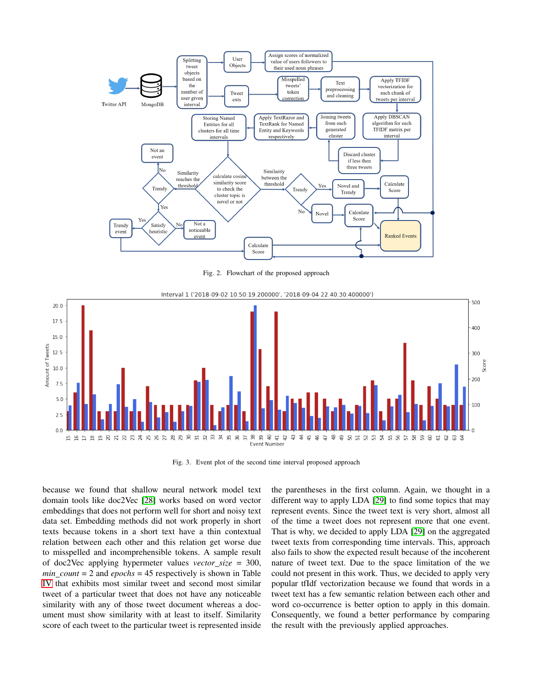

<span id="page-5-0"></span>Fig. 2. Flowchart of the proposed approach



<span id="page-5-1"></span>Fig. 3. Event plot of the second time interval proposed approach

because we found that shallow neural network model text domain tools like doc2Vec [\[28\]](#page-8-3) works based on word vector embeddings that does not perform well for short and noisy text data set. Embedding methods did not work properly in short texts because tokens in a short text have a thin contextual relation between each other and this relation get worse due to misspelled and incomprehensible tokens. A sample result of doc2Vec applying hypermeter values *vector size* = 300,  $min\_count = 2$  and  $epochs = 45$  respectively is shown in Table [IV](#page-6-1) that exhibits most similar tweet and second most similar tweet of a particular tweet that does not have any noticeable similarity with any of those tweet document whereas a document must show similarity with at least to itself. Similarity score of each tweet to the particular tweet is represented inside the parentheses in the first column. Again, we thought in a different way to apply LDA [\[29\]](#page-8-5) to find some topics that may represent events. Since the tweet text is very short, almost all of the time a tweet does not represent more that one event. That is why, we decided to apply LDA [\[29\]](#page-8-5) on the aggregated tweet texts from corresponding time intervals. This, approach also fails to show the expected result because of the incoherent nature of tweet text. Due to the space limitation of the we could not present in this work. Thus, we decided to apply very popular tfIdf vectorization because we found that words in a tweet text has a few semantic relation between each other and word co-occurrence is better option to apply in this domain. Consequently, we found a better performance by comparing the result with the previously applied approaches.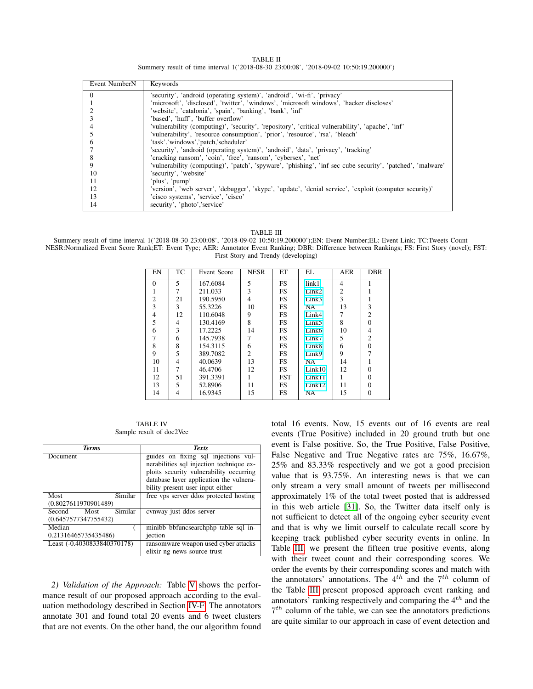TABLE II Summery result of time interval 1('2018-08-30 23:00:08', '2018-09-02 10:50:19.200000')

<span id="page-6-0"></span>

| Event NumberN | Keywords                                                                                                   |
|---------------|------------------------------------------------------------------------------------------------------------|
| 0             | 'security', 'android (operating system)', 'android', 'wi-fi', 'privacy'                                    |
|               | 'microsoft', 'disclosed', 'twitter', 'windows', 'microsoft windows', 'hacker discloses'                    |
|               | 'website', 'catalonia', 'spain', 'banking', 'bank', 'inf'                                                  |
|               | 'based', 'huff', 'buffer overflow'                                                                         |
|               | 'vulnerability (computing)', 'security', 'repository', 'critical vulnerability', 'apache', 'inf'           |
|               | 'vulnerability', 'resource consumption', 'prior', 'resource', 'rsa', 'bleach'                              |
| n             | 'task','windows','patch,'scheduler'                                                                        |
|               | 'security', 'android (operating system)', 'android', 'data', 'privacy', 'tracking'                         |
| 8             | 'cracking ransom', 'coin', 'free', 'ransom', 'cybersex', 'net'                                             |
| 9             | 'vulnerability (computing)', 'patch', 'spyware', 'phishing', 'inf sec cube security', 'patched', 'malware' |
| 10            | 'security', 'website'                                                                                      |
| 11            | 'plus', 'pump'                                                                                             |
| 12            | 'version', 'web server', 'debugger', 'skype', 'update', 'denial service', 'exploit (computer security)'    |
| 13            | 'cisco systems', 'service', 'cisco'                                                                        |
| 14            | security', 'photo','service'                                                                               |

TABLE III

<span id="page-6-2"></span>Summery result of time interval 1('2018-08-30 23:00:08', '2018-09-02 10:50:19.200000');EN: Event Number;EL: Event Link; TC:Tweets Count NESR:Normalized Event Score Rank;ET: Event Type; AER: Annotator Event Ranking; DBR: Difference between Rankings; FS: First Story (novel); FST: First Story and Trendy (developing)

| EN             | <b>TC</b> | Event Score | <b>NESR</b>    | ET         | EL                | AER            | <b>DBR</b>     |
|----------------|-----------|-------------|----------------|------------|-------------------|----------------|----------------|
| $\Omega$       | 5         | 167.6084    | 5              | <b>FS</b>  | link1             | 4              |                |
|                | 7         | 211.033     | 3              | FS         | Link2             | $\overline{2}$ |                |
| $\overline{2}$ | 21        | 190.5950    | 4              | <b>FS</b>  | Link3             | 3              |                |
| 3              | 3         | 55.3226     | 10             | <b>FS</b>  | NA                | 13             | 3              |
| $\overline{4}$ | 12        | 110.6048    | 9              | FS         | Link4             | 7              | $\overline{2}$ |
| 5              | 4         | 130.4169    | 8              | <b>FS</b>  | Link5             | 8              | $\Omega$       |
| 6              | 3         | 17.2225     | 14             | <b>FS</b>  | Link <sub>6</sub> | 10             | 4              |
| 7              | 6         | 145.7938    | 7              | <b>FS</b>  | Link7             | 5              | $\overline{c}$ |
| 8              | 8         | 154.3115    | 6              | FS         | Link8             | 6              | $\Omega$       |
| 9              | 5         | 389.7082    | $\overline{c}$ | <b>FS</b>  | Link9             | 9              | 7              |
| 10             | 4         | 40.0639     | 13             | <b>FS</b>  | NA                | 14             |                |
| 11             |           | 46.4706     | 12             | <b>FS</b>  | Link10            | 12             | 0              |
| 12             | 51        | 391.3391    |                | <b>FST</b> | Link11            |                | $\Omega$       |
| 13             | 5         | 52.8906     | 11             | <b>FS</b>  | Link12            | 11             | $\Omega$       |
| 14             | 4         | 16.9345     | 15             | <b>FS</b>  | NA                | 15             | $\theta$       |

TABLE IV Sample result of doc2Vec

<span id="page-6-1"></span>

| <b>Terms</b>                                      | <b>Texts</b>                                                                                                                                                                                               |
|---------------------------------------------------|------------------------------------------------------------------------------------------------------------------------------------------------------------------------------------------------------------|
| Document                                          | guides on fixing sql injections vul-<br>nerabilities sql injection technique ex-<br>ploits security vulnerability occurring<br>database layer application the vulnera-<br>bility present user input either |
| Similar<br>Most<br>(0.8027611970901489)           | free vps server ddos protected hosting                                                                                                                                                                     |
| Similar<br>Second<br>Most<br>(0.6457577347755432) | cvnway just ddos server                                                                                                                                                                                    |
| Median                                            | minibb bbfuncsearchphp table sql in-                                                                                                                                                                       |
| 0.21316465735435486)                              | jection                                                                                                                                                                                                    |
| Least (-0.4030833840370178)                       | ransomware weapon used cyber attacks<br>elixir ng news source trust                                                                                                                                        |

*2) Validation of the Approach:* Table [V](#page-7-18) shows the performance result of our proposed approach according to the evaluation methodology described in Section [IV-F.](#page-4-2) The annotators annotate 301 and found total 20 events and 6 tweet clusters that are not events. On the other hand, the our algorithm found total 16 events. Now, 15 events out of 16 events are real events (True Positive) included in 20 ground truth but one event is False positive. So, the True Positive, False Positive, False Negative and True Negative rates are 75%, 16.67%, 25% and 83.33% respectively and we got a good precision value that is 93.75%. An interesting news is that we can only stream a very small amount of tweets per millisecond approximately 1% of the total tweet posted that is addressed in this web article [\[31\]](#page-8-6). So, the Twitter data itself only is not sufficient to detect all of the ongoing cyber security event and that is why we limit ourself to calculate recall score by keeping track published cyber security events in online. In Table [III,](#page-6-2) we present the fifteen true positive events, along with their tweet count and their corresponding scores. We order the events by their corresponding scores and match with the annotators' annotations. The  $4^{th}$  and the  $7^{th}$  column of the Table [III](#page-6-2) present proposed approach event ranking and annotators' ranking respectively and comparing the  $4^{th}$  and the  $7<sup>th</sup>$  column of the table, we can see the annotators predictions are quite similar to our approach in case of event detection and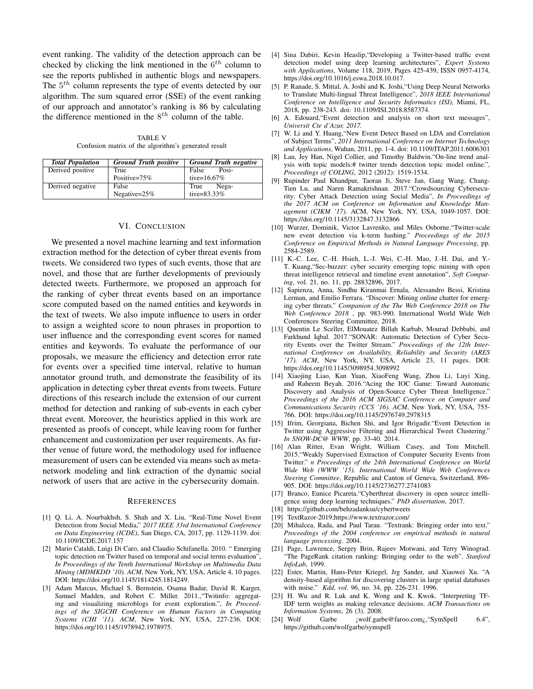event ranking. The validity of the detection approach can be checked by clicking the link mentioned in the  $6^{th}$  column to see the reports published in authentic blogs and newspapers. The  $5<sup>th</sup>$  column represents the type of events detected by our algorithm. The sum squared error (SSE) of the event ranking of our approach and annotator's ranking is 86 by calculating the difference mentioned in the  $8^{th}$  column of the table.

TABLE V Confusion matrix of the algorithm's generated result

<span id="page-7-18"></span>

| <b>Total Population</b> | <b>Ground Truth positive</b> | <b>Ground Truth negative</b> |
|-------------------------|------------------------------|------------------------------|
| Derived positive        | True                         | False<br>Posi-               |
|                         | Positive= $75%$              | tive= $16.67%$               |
| Derived negative        | False                        | Nega-<br>True                |
|                         | Negative= $25%$              | tive=83.33%                  |

# VI. CONCLUSION

We presented a novel machine learning and text information extraction method for the detection of cyber threat events from tweets. We considered two types of such events, those that are novel, and those that are further developments of previously detected tweets. Furthermore, we proposed an approach for the ranking of cyber threat events based on an importance score computed based on the named entities and keywords in the text of tweets. We also impute influence to users in order to assign a weighted score to noun phrases in proportion to user influence and the corresponding event scores for named entities and keywords. To evaluate the performance of our proposals, we measure the efficiency and detection error rate for events over a specified time interval, relative to human annotator ground truth, and demonstrate the feasibility of its application in detecting cyber threat events from tweets. Future directions of this research include the extension of our current method for detection and ranking of sub-events in each cyber threat event. Moreover, the heuristics applied in this work are presented as proofs of concept, while leaving room for further enhancement and customization per user requirements. As further venue of future word, the methodology used for influence measurement of users can be extended via means such as metanetwork modeling and link extraction of the dynamic social network of users that are active in the cybersecurity domain.

### **REFERENCES**

- [1] Q. Li, A. Nourbakhsh, S. Shah and X. Liu, "Real-Time Novel Event Detection from Social Media," *2017 IEEE 33rd International Conference on Data Engineering (ICDE)*, San Diego, CA, 2017, pp. 1129-1139. doi: 10.1109/ICDE.2017.157
- <span id="page-7-0"></span>[2] Mario Cataldi, Luigi Di Caro, and Claudio Schifanella. 2010. " Emerging topic detection on Twitter based on temporal and social terms evaluation", *In Proceedings of the Tenth International Workshop on Multimedia Data Mining (MDMKDD '10). ACM*, New York, NY, USA, Article 4, 10 pages. DOI: https://doi.org/10.1145/1814245.1814249.
- <span id="page-7-6"></span>[3] Adam Marcus, Michael S. Bernstein, Osama Badar, David R. Karger, Samuel Madden, and Robert C. Miller. 2011.,"Twitinfo: aggregating and visualizing microblogs for event exploration.", *In Proceedings of the SIGCHI Conference on Human Factors in Computing Systems (CHI '11). ACM*, New York, NY, USA, 227-236. DOI: https://doi.org/10.1145/1978942.1978975.
- <span id="page-7-5"></span>[4] Sina Dabiri, Kevin Heaslip,"Developing a Twitter-based traffic event detection model using deep learning architectures", *Expert Systems with Applications*, Volume 118, 2019, Pages 425-439, ISSN 0957-4174, https://doi.org/10.1016/j.eswa.2018.10.017.
- <span id="page-7-9"></span>[5] P. Ranade, S. Mittal, A. Joshi and K. Joshi,"Using Deep Neural Networks to Translate Multi-lingual Threat Intelligence", *2018 IEEE International Conference on Intelligence and Security Informatics (ISI)*, Miami, FL, 2018, pp. 238-243. doi: 10.1109/ISI.2018.8587374.
- <span id="page-7-10"></span>[6] A. Edouard,"Event detection and analysis on short text messages", *Universit Cte d'Azur, 2017.*
- [7] W. Li and Y. Huang,"New Event Detect Based on LDA and Correlation of Subject Terms", *2011 International Conference on Internet Technology and Applications*, Wuhan, 2011, pp. 1-4. doi: 10.1109/ITAP.2011.6006301
- [8] Lau, Jey Han, Nigel Collier, and Timothy Baldwin."On-line trend analysis with topic models:# twitter trends detection topic model online.", *Proceedings of COLING*, 2012 (2012): 1519-1534.
- <span id="page-7-7"></span>[9] Rupinder Paul Khandpur, Taoran Ji, Steve Jan, Gang Wang, Chang-Tien Lu, and Naren Ramakrishnan. 2017."Crowdsourcing Cybersecurity: Cyber Attack Detection using Social Media", *In Proceedings of the 2017 ACM on Conference on Information and Knowledge Management (CIKM '17).* ACM, New York, NY, USA, 1049-1057. DOI: https://doi.org/10.1145/3132847.3132866
- [10] Wurzer, Dominik, Victor Lavrenko, and Miles Osborne."Twitter-scale new event detection via k-term hashing." *Proceedings of the 2015 Conference on Empirical Methods in Natural Language Processing*, pp. 2584-2589.
- <span id="page-7-11"></span>[11] K.-C. Lee, C.-H. Hsieh, L.-J. Wei, C.-H. Mao, J.-H. Dai, and Y.- T. Kuang,"Sec-buzzer: cyber security emerging topic mining with open threat intelligence retrieval and timeline event annotation", *Soft Computing*, vol. 21, no. 11, pp. 28832896, 2017.
- <span id="page-7-12"></span>[12] Sapienza, Anna, Sindhu Kiranmai Ernala, Alessandro Bessi, Kristina Lerman, and Emilio Ferrara. "Discover: Mining online chatter for emerging cyber threats." *Companion of the The Web Conference 2018 on The Web Conference 2018* , pp. 983-990. International World Wide Web Conferences Steering Committee, 2018.
- <span id="page-7-8"></span>[13] Quentin Le Sceller, ElMouatez Billah Karbab, Mourad Debbabi, and Farkhund Iqbal. 2017."SONAR: Automatic Detection of Cyber Security Events over the Twitter Stream." *Proceedings of the 12th International Conference on Availability, Reliability and Security (ARES '17). ACM*, New York, NY, USA, Article 23, 11 pages. DOI: https://doi.org/10.1145/3098954.3098992
- [14] Xiaojing Liao, Kan Yuan, XiaoFeng Wang, Zhou Li, Luyi Xing, and Raheem Beyah. 2016."Acing the IOC Game: Toward Automatic Discovery and Analysis of Open-Source Cyber Threat Intelligence." *Proceedings of the 2016 ACM SIGSAC Conference on Computer and Communications Security (CCS '16). ACM*, New York, NY, USA, 755- 766. DOI: https://doi.org/10.1145/2976749.2978315
- <span id="page-7-1"></span>[15] Ifrim, Georgiana, Bichen Shi, and Igor Brigadir. "Event Detection in Twitter using Aggressive Filtering and Hierarchical Tweet Clustering." *In SNOW-DC@ WWW*, pp. 33-40. 2014.
- <span id="page-7-13"></span>[16] Alan Ritter, Evan Wright, William Casey, and Tom Mitchell. 2015."Weakly Supervised Extraction of Computer Security Events from Twitter." *n Proceedings of the 24th International Conference on World Wide Web (WWW '15). International World Wide Web Conferences Steering Committee*, Republic and Canton of Geneva, Switzerland, 896- 905. DOI: https://doi.org/10.1145/2736277.2741083
- [17] Branco, Eunice Picareta."Cyberthreat discovery in open source intelligence using deep learning techniques." *PhD dissertation*, 2017.
- <span id="page-7-15"></span>[18] https://github.com/behzadanksu/cybertweets
- <span id="page-7-17"></span>[19] TextRazor-2019;https://www.textrazor.com/
- <span id="page-7-4"></span>[20] Mihalcea, Rada, and Paul Tarau. "Textrank: Bringing order into text." *Proceedings of the 2004 conference on empirical methods in natural language processing*. 2004.
- <span id="page-7-14"></span>[21] Page, Lawrence, Sergey Brin, Rajeev Motwani, and Terry Winograd. "The PageRank citation ranking: Bringing order to the web". *Stanford InfoLab*, 1999.
- <span id="page-7-3"></span>[22] Ester, Martin, Hans-Peter Kriegel, Jrg Sander, and Xiaowei Xu. "A density-based algorithm for discovering clusters in large spatial databases with noise." *Kdd, vol. 96*, no. 34, pp. 226-231. 1996.
- <span id="page-7-2"></span>[23] H. Wu and R. Luk and K. Wong and K. Kwok. "Interpreting TF-IDF term weights as making relevance decisions. *ACM Transactions on Information Systems*, 26 (3). 2008.
- <span id="page-7-16"></span>[24] Wolf Garbe ;wolf.garbe@faroo.com;, "SymSpell 6.4", https://github.com/wolfgarbe/symspell